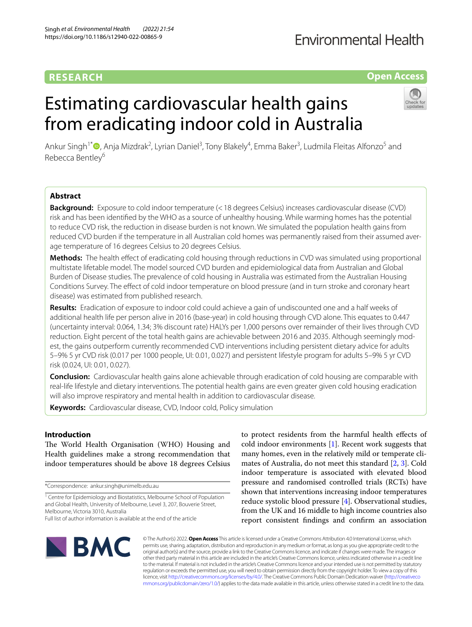## **RESEARCH**

## **Fnvironmental Health**

## **Open Access**

# Estimating cardiovascular health gains from eradicating indoor cold in Australia



Ankur Singh<sup>1\*</sup>®[,](http://orcid.org/0000-0003-1336-6493) Anja Mizdrak<sup>2</sup>, Lyrian Daniel<sup>3</sup>, Tony Blakely<sup>4</sup>, Emma Baker<sup>3</sup>, Ludmila Fleitas Alfonzo<sup>5</sup> and Rebecca Bentley<sup>6</sup>

## **Abstract**

**Background:** Exposure to cold indoor temperature (<18 degrees Celsius) increases cardiovascular disease (CVD) risk and has been identifed by the WHO as a source of unhealthy housing. While warming homes has the potential to reduce CVD risk, the reduction in disease burden is not known. We simulated the population health gains from reduced CVD burden if the temperature in all Australian cold homes was permanently raised from their assumed average temperature of 16 degrees Celsius to 20 degrees Celsius.

**Methods:** The health efect of eradicating cold housing through reductions in CVD was simulated using proportional multistate lifetable model. The model sourced CVD burden and epidemiological data from Australian and Global Burden of Disease studies. The prevalence of cold housing in Australia was estimated from the Australian Housing Conditions Survey. The efect of cold indoor temperature on blood pressure (and in turn stroke and coronary heart disease) was estimated from published research.

**Results:** Eradication of exposure to indoor cold could achieve a gain of undiscounted one and a half weeks of additional health life per person alive in 2016 (base-year) in cold housing through CVD alone. This equates to 0.447 (uncertainty interval: 0.064, 1.34; 3% discount rate) HALYs per 1,000 persons over remainder of their lives through CVD reduction. Eight percent of the total health gains are achievable between 2016 and 2035. Although seemingly modest, the gains outperform currently recommended CVD interventions including persistent dietary advice for adults 5–9% 5 yr CVD risk (0.017 per 1000 people, UI: 0.01, 0.027) and persistent lifestyle program for adults 5–9% 5 yr CVD risk (0.024, UI: 0.01, 0.027).

**Conclusion:** Cardiovascular health gains alone achievable through eradication of cold housing are comparable with real-life lifestyle and dietary interventions. The potential health gains are even greater given cold housing eradication will also improve respiratory and mental health in addition to cardiovascular disease.

**Keywords:** Cardiovascular disease, CVD, Indoor cold, Policy simulation

## **Introduction**

The World Health Organisation (WHO) Housing and Health guidelines make a strong recommendation that indoor temperatures should be above 18 degrees Celsius

\*Correspondence: ankur.singh@unimelb.edu.au

to protect residents from the harmful health efects of cold indoor environments [[1\]](#page-11-0). Recent work suggests that many homes, even in the relatively mild or temperate climates of Australia, do not meet this standard [\[2](#page-11-1), [3\]](#page-11-2). Cold indoor temperature is associated with elevated blood pressure and randomised controlled trials (RCTs) have shown that interventions increasing indoor temperatures reduce systolic blood pressure [\[4](#page-11-3)]. Observational studies, from the UK and 16 middle to high income countries also report consistent fndings and confrm an association



© The Author(s) 2022. **Open Access** This article is licensed under a Creative Commons Attribution 4.0 International License, which permits use, sharing, adaptation, distribution and reproduction in any medium or format, as long as you give appropriate credit to the original author(s) and the source, provide a link to the Creative Commons licence, and indicate if changes were made. The images or other third party material in this article are included in the article's Creative Commons licence, unless indicated otherwise in a credit line to the material. If material is not included in the article's Creative Commons licence and your intended use is not permitted by statutory regulation or exceeds the permitted use, you will need to obtain permission directly from the copyright holder. To view a copy of this licence, visit [http://creativecommons.org/licenses/by/4.0/.](http://creativecommons.org/licenses/by/4.0/) The Creative Commons Public Domain Dedication waiver ([http://creativeco](http://creativecommons.org/publicdomain/zero/1.0/) [mmons.org/publicdomain/zero/1.0/](http://creativecommons.org/publicdomain/zero/1.0/)) applies to the data made available in this article, unless otherwise stated in a credit line to the data.

<sup>&</sup>lt;sup>1</sup> Centre for Epidemiology and Biostatistics, Melbourne School of Population and Global Health, University of Melbourne, Level 3, 207, Bouverie Street, Melbourne, Victoria 3010, Australia

Full list of author information is available at the end of the article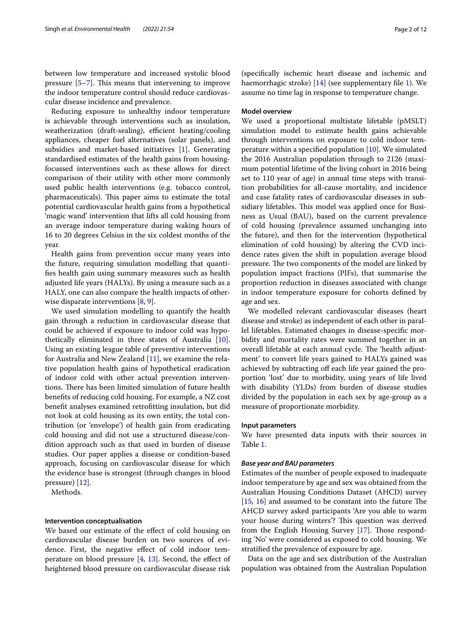between low temperature and increased systolic blood pressure  $[5-7]$  $[5-7]$  $[5-7]$ . This means that intervening to improve the indoor temperature control should reduce cardiovascular disease incidence and prevalence.

Reducing exposure to unhealthy indoor temperature is achievable through interventions such as insulation, weatherization (draft-sealing), efficient heating/cooling appliances, cheaper fuel alternatives (solar panels), and subsidies and market-based initiatives [[1\]](#page-11-0). Generating standardised estimates of the health gains from housingfocussed interventions such as these allows for direct comparison of their utility with other more commonly used public health interventions (e.g. tobacco control, pharmaceuticals). This paper aims to estimate the total potential cardiovascular health gains from a hypothetical 'magic wand' intervention that lifts all cold housing from an average indoor temperature during waking hours of 16 to 20 degrees Celsius in the six coldest months of the year.

Health gains from prevention occur many years into the future, requiring simulation modelling that quantifes health gain using summary measures such as health adjusted life years (HALYs). By using a measure such as a HALY, one can also compare the health impacts of otherwise disparate interventions [[8](#page-11-6), [9\]](#page-11-7).

We used simulation modelling to quantify the health gain through a reduction in cardiovascular disease that could be achieved if exposure to indoor cold was hypothetically eliminated in three states of Australia [\[10](#page-11-8)]. Using an existing league table of preventive interventions for Australia and New Zealand [\[11](#page-11-9)], we examine the relative population health gains of hypothetical eradication of indoor cold with other actual prevention interventions. There has been limited simulation of future health benefts of reducing cold housing. For example, a NZ cost beneft analyses examined retroftting insulation, but did not look at cold housing as its own entity, the total contribution (or 'envelope') of health gain from eradicating cold housing and did not use a structured disease/condition approach such as that used in burden of disease studies. Our paper applies a disease or condition-based approach, focusing on cardiovascular disease for which the evidence base is strongest (through changes in blood pressure) [[12\]](#page-11-10).

Methods.

#### **Intervention conceptualisation**

We based our estimate of the efect of cold housing on cardiovascular disease burden on two sources of evidence. First, the negative efect of cold indoor temperature on blood pressure  $[4, 13]$  $[4, 13]$  $[4, 13]$  $[4, 13]$ . Second, the effect of heightened blood pressure on cardiovascular disease risk

(specifcally ischemic heart disease and ischemic and haemorrhagic stroke) [[14](#page-11-12)] (see supplementary file [1\)](#page-10-0). We assume no time lag in response to temperature change.

## **Model overview**

We used a proportional multistate lifetable (pMSLT) simulation model to estimate health gains achievable through interventions on exposure to cold indoor temperature within a specifed population [\[10](#page-11-8)]. We simulated the 2016 Australian population through to 2126 (maximum potential lifetime of the living cohort in 2016 being set to 110 year of age) in annual time steps with transition probabilities for all-cause mortality, and incidence and case fatality rates of cardiovascular diseases in subsidiary lifetables. This model was applied once for Business as Usual (BAU), based on the current prevalence of cold housing (prevalence assumed unchanging into the future), and then for the intervention (hypothetical elimination of cold housing) by altering the CVD incidence rates given the shift in population average blood pressure. The two components of the model are linked by population impact fractions (PIFs), that summarise the proportion reduction in diseases associated with change in indoor temperature exposure for cohorts defned by age and sex.

We modelled relevant cardiovascular diseases (heart disease and stroke) as independent of each other in parallel lifetables. Estimated changes in disease-specifc morbidity and mortality rates were summed together in an overall lifetable at each annual cycle. The 'health adjustment' to convert life years gained to HALYs gained was achieved by subtracting off each life year gained the proportion 'lost' due to morbidity, using years of life lived with disability (YLDs) from burden of disease studies divided by the population in each sex by age-group as a measure of proportionate morbidity.

#### **Input parameters**

We have presented data inputs with their sources in Table [1](#page-2-0).

#### *Base year and BAU parameters*

Estimates of the number of people exposed to inadequate indoor temperature by age and sex was obtained from the Australian Housing Conditions Dataset (AHCD) survey  $[15, 16]$  $[15, 16]$  $[15, 16]$  $[15, 16]$  $[15, 16]$  and assumed to be constant into the future The AHCD survey asked participants 'Are you able to warm your house during winters'? This question was derived from the English Housing Survey  $[17]$  $[17]$ . Those responding 'No' were considered as exposed to cold housing. We stratifed the prevalence of exposure by age.

Data on the age and sex distribution of the Australian population was obtained from the Australian Population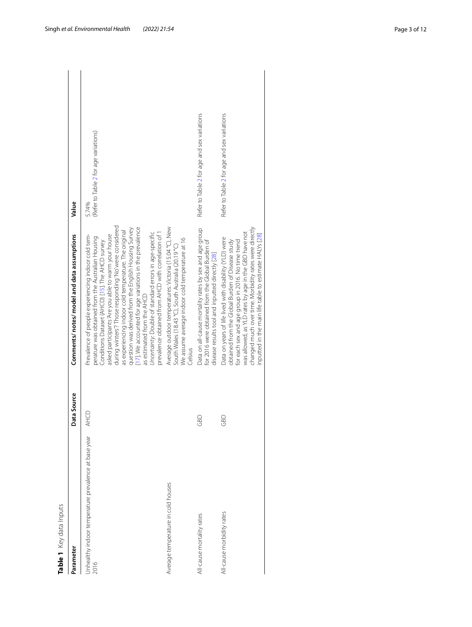| <b>Table 1</b> Key data Inputs                               |             |                                                                                                                                                                                                                                                                                                                                                                                                                                                                                                                                                                                                       |                                                |  |
|--------------------------------------------------------------|-------------|-------------------------------------------------------------------------------------------------------------------------------------------------------------------------------------------------------------------------------------------------------------------------------------------------------------------------------------------------------------------------------------------------------------------------------------------------------------------------------------------------------------------------------------------------------------------------------------------------------|------------------------------------------------|--|
| Parameter                                                    | Data Source | Comments/ notes/ model and data assumptions                                                                                                                                                                                                                                                                                                                                                                                                                                                                                                                                                           | Value                                          |  |
| Inhealthy indoor temperature prevalence at base year<br>2016 | AHCD        | during winters'? Those responding 'No' were considered<br>17]. We accounted for age variations in the prevalence<br>question was derived from the English Housing Survey<br>as experiencing indoor cold temperature. The original<br>Uncertainty: Double of standard errors in age-specific<br>prevalence obtained from AHCD with correlation of 1<br>Prevalence of people experiencing indoor cold tem-<br>asked participants 'Are you able to warm your house<br>perature was obtained from the Australian Housing<br>Conditions Dataset (AHCD) [15]. The AHCD survey<br>as estimated from the AHCD | (Refer to Table 2 for age variations)<br>5.74% |  |
| Average temperature in cold houses                           |             | Average outdoor temperatures: Victoria (15.04 °C), New<br>We assume average indoor cold temperature at 16<br>South Wales (18.43 °C), South Australia (20.19 °C)<br>Celsius                                                                                                                                                                                                                                                                                                                                                                                                                            |                                                |  |
| All-cause mortality rates                                    | GBD         | Data on all-cause mortality rates by sex and age group<br>for 2016 were obtained from the Global Burden of<br>disease results tool and inputted directly [28]                                                                                                                                                                                                                                                                                                                                                                                                                                         | Refer to Table 2 for age and sex variations    |  |
| All-cause morbidity rates                                    | GBD         | changed much over time. Morbidity rates were directly<br>was allowed, as YLD rates by age in the GBD have not<br>inputted in the main life table to estimate HALYs [28]<br>Data on years of life lived with disability (YLD) were<br>obtained from the Global Burden of Disease study<br>for each sex and age group in 2016. No time trend                                                                                                                                                                                                                                                            | Refer to Table 2 for age and sex variations    |  |

<span id="page-2-0"></span>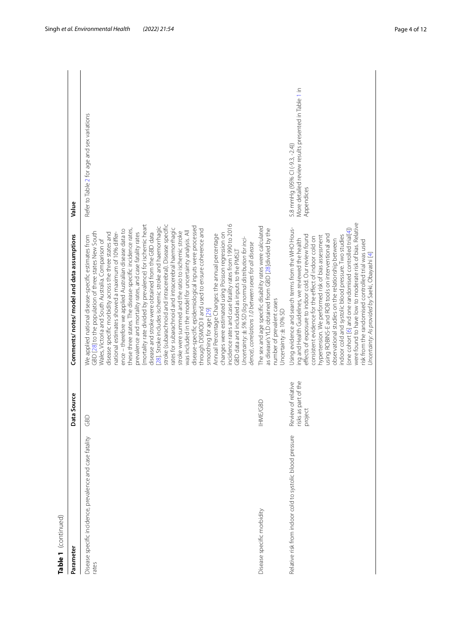| Table 1 (continued)                                               |                                                       |                                                                                                                                                                                                                                                                                                                                                                                                                                                                                                                                                                                                                                                                                                                                                                                                                                                                                                                                                                                                                                                                                                                                                                                                                                                                                                                                                                                    |                                                                                                      |
|-------------------------------------------------------------------|-------------------------------------------------------|------------------------------------------------------------------------------------------------------------------------------------------------------------------------------------------------------------------------------------------------------------------------------------------------------------------------------------------------------------------------------------------------------------------------------------------------------------------------------------------------------------------------------------------------------------------------------------------------------------------------------------------------------------------------------------------------------------------------------------------------------------------------------------------------------------------------------------------------------------------------------------------------------------------------------------------------------------------------------------------------------------------------------------------------------------------------------------------------------------------------------------------------------------------------------------------------------------------------------------------------------------------------------------------------------------------------------------------------------------------------------------|------------------------------------------------------------------------------------------------------|
| Parameter                                                         | Data Source                                           | Comments/ notes/ model and data assumptions                                                                                                                                                                                                                                                                                                                                                                                                                                                                                                                                                                                                                                                                                                                                                                                                                                                                                                                                                                                                                                                                                                                                                                                                                                                                                                                                        | Value                                                                                                |
| Disease specific incidence, prevalence and case fatality<br>rates | GBD                                                   | incidence rates and case fatality rates from 1990 to 2016<br>(mortality rate divided by prevalence) for ischemic heart<br>stroke (subarachnoid and intracerebral). Disease specific<br>[28]. Stroke includes ischemic stroke and haemorrhagic<br>disease-specific epidemiological inputs were processed<br>rates for subarachnoid and intracerebral haemorrhagic<br>these three states. The disease-specific incidence rates,<br>through DISMOD II and used to ensure coherence and<br>ence – therefore we applied Australian disease data to<br>was included in the model for uncertainty analysis. All<br>GBD [28] to the population of three states New South<br>stroke were summed and the ratio to ischemic stroke<br>national estimates showed a maximum of 10% differ-<br>prevalence and mortality rates, and case fatality rates<br>disease specific morbidity across the three states and<br>disease and stroke were obtained from the GBD data<br>changes were estimated using Poisson regression on<br>Annual Percentage Changes: the annual percentage<br>We applied national disease-specific estimates from<br>Uncertainty: $\pm$ 5% SD (log normal distribution for inci-<br>Wales, Victoria and South Australia. Comparison of<br>dence), correlations 1.0 between sexes for all disease<br>GBD data and included as inputs to the PMSLT<br>smoothing for age [29] | Refer to Table 2 for age and sex variations                                                          |
| Disease specific morbidity                                        | HME/GBD                                               | The sex and age specific disability rates were calculated<br>as disease's YLD obtained from GBD [28]divided by the<br>number of prevalent cases<br>Uncertainty: ±10% SD                                                                                                                                                                                                                                                                                                                                                                                                                                                                                                                                                                                                                                                                                                                                                                                                                                                                                                                                                                                                                                                                                                                                                                                                            |                                                                                                      |
| Relative risk from indoor cold to systolic blood pressure         | risks as part of the<br>Review of relative<br>project | were found to have low to moderate risk of bias. Relative<br>Using evidence and search terms from the WHO Hous-<br>(one cohort [6] and one randomised controlled trial[4])<br>using ROBINS-E and ROB tools on interventional and<br>effects of exposure to indoor cold. Our review found<br>indoor cold and systolic blood pressure. Two studies<br>hypertension. We performed risk of bias assessment<br>consistent evidence for the effect of indoor cold on<br>ing and Health Guidelines, we reviewed the health<br>observational studies on the relationship between<br>risk from the randomised controlled trial was used<br>Uncertainty: As provided by Saeki, Obayashi [4]                                                                                                                                                                                                                                                                                                                                                                                                                                                                                                                                                                                                                                                                                                  | More detailed review results presented in Table 1 in<br>5.8 mmHg (95% CI (-9.3, -2.4))<br>Appendices |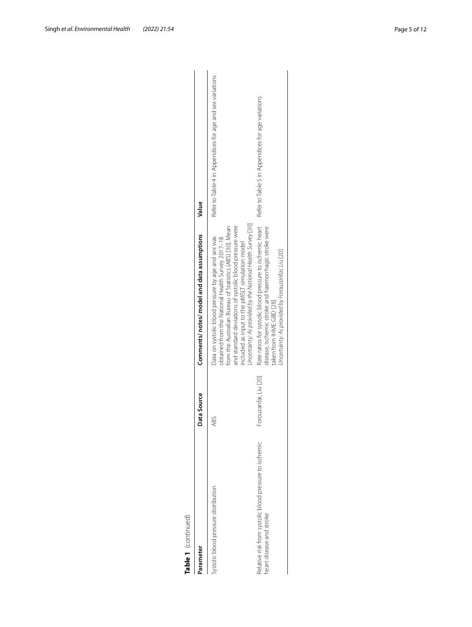| Table 1 (continued)                                                                |                       |                                                                                                                                                                                                                                                                                                                                                  |                                                           |
|------------------------------------------------------------------------------------|-----------------------|--------------------------------------------------------------------------------------------------------------------------------------------------------------------------------------------------------------------------------------------------------------------------------------------------------------------------------------------------|-----------------------------------------------------------|
| Parameter                                                                          | Data Source           | Comments/ notes/ model and data assumptions                                                                                                                                                                                                                                                                                                      | Value                                                     |
| Systolic blood pressure distribution                                               | ABS                   | Uncertainty: As provided by the National Health Survey [30]<br>and standard deviations of systolic blood pressure were<br>from the Australian Bureau of Statistics (ABS) [30]. Mean<br>Data on systolic blood pressure by age and sex was<br>obtained from the National Health Survey 2017-18<br>included as input to the pMSLT simulation model | Refer to Table 4 in Appendices for age and sex variations |
| Relative risk from systolic blood pressure to ischemic<br>neart disease and stroke | Forouzanfar, Liu [20] | Rate ratios for systolic blood pressure to ischemic heart<br>disease, ischemic stroke and haemorrhagic stroke were<br>Uncertainty: As provided by Forouzanfar, Liu [20]<br>taken from IHME GBD [28]                                                                                                                                              | Refer to Table 5 in Appendices for age variations         |
|                                                                                    |                       |                                                                                                                                                                                                                                                                                                                                                  |                                                           |

| v<br>a |
|--------|
|        |
|        |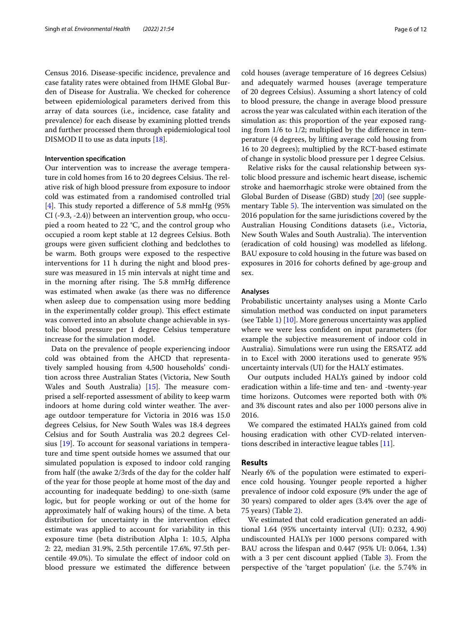Census 2016. Disease-specifc incidence, prevalence and case fatality rates were obtained from IHME Global Burden of Disease for Australia. We checked for coherence between epidemiological parameters derived from this array of data sources (i.e., incidence, case fatality and prevalence) for each disease by examining plotted trends and further processed them through epidemiological tool DISMOD II to use as data inputs [[18\]](#page-11-21).

#### **Intervention specifcation**

Our intervention was to increase the average temperature in cold homes from 16 to 20 degrees Celsius. The relative risk of high blood pressure from exposure to indoor cold was estimated from a randomised controlled trial [[4\]](#page-11-3). This study reported a difference of 5.8 mmHg  $(95\%$ CI (-9.3, -2.4)) between an intervention group, who occupied a room heated to 22 °C, and the control group who occupied a room kept stable at 12 degrees Celsius. Both groups were given sufficient clothing and bedclothes to be warm. Both groups were exposed to the respective interventions for 11 h during the night and blood pressure was measured in 15 min intervals at night time and in the morning after rising. The 5.8 mmHg difference was estimated when awake (as there was no diference when asleep due to compensation using more bedding in the experimentally colder group). This effect estimate was converted into an absolute change achievable in systolic blood pressure per 1 degree Celsius temperature increase for the simulation model.

Data on the prevalence of people experiencing indoor cold was obtained from the AHCD that representatively sampled housing from 4,500 households' condition across three Australian States (Victoria, New South Wales and South Australia) [[15\]](#page-11-13). The measure comprised a self-reported assessment of ability to keep warm indoors at home during cold winter weather. The average outdoor temperature for Victoria in 2016 was 15.0 degrees Celsius, for New South Wales was 18.4 degrees Celsius and for South Australia was 20.2 degrees Celsius [[19](#page-11-22)]. To account for seasonal variations in temperature and time spent outside homes we assumed that our simulated population is exposed to indoor cold ranging from half (the awake 2/3rds of the day for the colder half of the year for those people at home most of the day and accounting for inadequate bedding) to one-sixth (same logic, but for people working or out of the home for approximately half of waking hours) of the time. A beta distribution for uncertainty in the intervention efect estimate was applied to account for variability in this exposure time (beta distribution Alpha 1: 10.5, Alpha 2: 22, median 31.9%, 2.5th percentile 17.6%, 97.5th percentile 49.0%). To simulate the efect of indoor cold on blood pressure we estimated the diference between cold houses (average temperature of 16 degrees Celsius) and adequately warmed houses (average temperature of 20 degrees Celsius). Assuming a short latency of cold to blood pressure, the change in average blood pressure across the year was calculated within each iteration of the simulation as: this proportion of the year exposed ranging from 1/6 to 1/2; multiplied by the diference in temperature (4 degrees, by lifting average cold housing from 16 to 20 degrees); multiplied by the RCT-based estimate of change in systolic blood pressure per 1 degree Celsius.

Relative risks for the causal relationship between systolic blood pressure and ischemic heart disease, ischemic stroke and haemorrhagic stroke were obtained from the Global Burden of Disease (GBD) study [[20\]](#page-11-20) (see supple-mentary Table [5\)](#page-10-0). The intervention was simulated on the 2016 population for the same jurisdictions covered by the Australian Housing Conditions datasets (i.e., Victoria, New South Wales and South Australia). The intervention (eradication of cold housing) was modelled as lifelong. BAU exposure to cold housing in the future was based on exposures in 2016 for cohorts defned by age-group and sex.

#### **Analyses**

Probabilistic uncertainty analyses using a Monte Carlo simulation method was conducted on input parameters (see Table [1](#page-2-0)) [[10\]](#page-11-8). More generous uncertainty was applied where we were less confdent on input parameters (for example the subjective measurement of indoor cold in Australia). Simulations were run using the ERSATZ add in to Excel with 2000 iterations used to generate 95% uncertainty intervals (UI) for the HALY estimates.

Our outputs included HALYs gained by indoor cold eradication within a life-time and ten- and -twenty-year time horizons. Outcomes were reported both with 0% and 3% discount rates and also per 1000 persons alive in 2016.

We compared the estimated HALYs gained from cold housing eradication with other CVD-related interventions described in interactive league tables [[11\]](#page-11-9).

#### **Results**

Nearly 6% of the population were estimated to experience cold housing. Younger people reported a higher prevalence of indoor cold exposure (9% under the age of 30 years) compared to older ages (3.4% over the age of 75 years) (Table [2](#page-6-0)).

We estimated that cold eradication generated an additional 1.64 (95% uncertainty interval (UI): 0.232, 4.90) undiscounted HALYs per 1000 persons compared with BAU across the lifespan and 0.447 (95% UI: 0.064, 1.34) with a [3](#page-8-0) per cent discount applied (Table 3). From the perspective of the 'target population' (i.e. the 5.74% in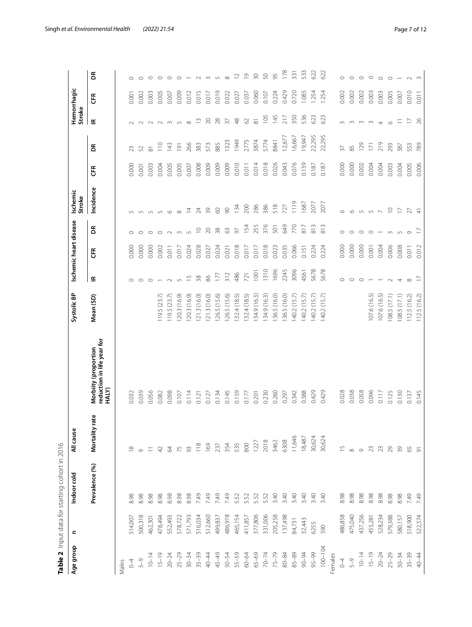| Table 2 Input data for starting cohort in 2016<br>Age group | c       | Indoor cold    | All cause           |                                                             | Systolic BP  |                          | Ischemic heart disease |               | Ischemic                 |       |                     |                                           | Hemorrhagic |                    |
|-------------------------------------------------------------|---------|----------------|---------------------|-------------------------------------------------------------|--------------|--------------------------|------------------------|---------------|--------------------------|-------|---------------------|-------------------------------------------|-------------|--------------------|
|                                                             |         |                |                     |                                                             |              |                          |                        |               | Stroke                   |       |                     | Stroke                                    |             |                    |
|                                                             |         | Prevalence (%) | ate<br>Mortality    | reduction in life year for<br>HALY)<br>Morbiity (proportion | Mean (SD)    | ≅                        | EŘ                     | $\mathsf{g}$  | Incidence                | E     | ã                   | $\mathbf{\underline{\underline{\kappa}}}$ | ER          | ã                  |
| Males                                                       |         |                |                     |                                                             |              |                          |                        |               |                          |       |                     |                                           |             |                    |
| $\overline{C}$                                              | 514,007 | 8.98           | $\infty$            | 0.032                                                       |              |                          | 0.000                  | $\circ$       |                          | 0.000 | 23                  |                                           | 0.001       |                    |
| $5 - 9$                                                     | 500,318 | 8.98           |                     | 0.039                                                       |              | $\circ$                  | 0.000                  | $\circ$       | $\cup$                   | 0.001 | 52                  | $\sim$                                    | 0.002       | $\circ$            |
| $10 - 14$                                                   | 462,301 | 8.98           |                     | 0.056                                                       |              | $\circ$                  | 0.000                  | $\circ$       | $\cup$                   | 0.003 | $\overline{\infty}$ | $\sim$                                    | 0.003       | $\circ$            |
| $15 - 19$                                                   | 478,494 | 8.98           |                     | 0.082                                                       | 19.5(23.7)   |                          | 0.002                  | $\circ$       | $\sqrt{2}$               | 0.004 | $\approx 10$        | $\sim$                                    | 0.005       | $\circ$            |
| $20 - 24$                                                   | 552,493 | 8.98           | 2                   | 0.098                                                       | 119.5(23.7)  | $\sim$                   | 0.011                  | $\sim$        | $\circ$                  | 0.005 | 143                 | $\sim$                                    | 0.007       | $\circ$            |
| $25 - 29$                                                   | 578,722 | 8.98           | 75                  | 0.107                                                       | 120.3 (16.9) | $\cup$                   | 0.017                  | $\sim$        | $\infty$                 | 0.005 | $\overline{191}$    | $\sqrt{2}$                                | 0.009       | $\circ$            |
| $30 - 34$                                                   | 571,793 | 8.98           | 93                  | 0.114                                                       | 120.3 (16.9) | $\frac{1}{2}$            | 0.024                  | $\cup$        | $\overline{4}$           | 0.007 | 266                 | $\infty$                                  | 0.012       |                    |
| $35 - 39$                                                   | 516,034 | 7.49           | $\frac{8}{1}$       | 0.121                                                       | 121.3(16.0)  | $38$                     | 0.028                  | $\supseteq$   | $\overline{24}$          | 0.008 | 383                 | $\bar{1}$                                 | 0.015       | $\sim$             |
| 40-44                                                       | 512,660 | 7.49           | 169                 | 0.127                                                       | 121.3(16.0)  | 86                       | 0.027                  | $\gtrsim$     | 39                       | 0.009 | 573                 | $\gtrsim$                                 | 0.017       | $\sim$             |
| 45-49                                                       | 499,837 | 7.49           | 237                 | 0.134                                                       | 126.5 (15.6) | 177                      | 0.024                  | $38$          | $\odot$                  | 0.009 | 885                 | $28$                                      | 0.019       | $\sqrt{2}$         |
| $50 - 54$                                                   | 486,978 | 7.49           | 354                 | 0.145                                                       | 126.5 (15.6) | 312                      | 0.021                  | $\mathcal{S}$ | $\infty$                 | 0.009 | 1323                | $\overline{5}$                            | 0.022       | $\infty$           |
| 55-59                                                       | 465,154 | 5.52           | 535                 | 0.159                                                       | 132.4(18.5)  | 486                      | 0.018                  | $\sqrt{6}$    | 134                      | 0.010 | 1949                | $\frac{8}{3}$                             | 0.027       | $\mathop{^{\sim}}$ |
| 60-64                                                       | 411,857 | 5.52           | 800                 | 0.177                                                       | 132.4(18.5)  | 721                      | 0.017                  | 154           | 200                      | 0.011 | 2775                | $\Omega$                                  | 0.037       | $\overline{0}$     |
| $65 - 69$                                                   | 377,806 | 5.52           | 1227                | 0.201                                                       | 134.9(16.3)  | 1001                     | 0.017                  | 255           | 286                      | 0.014 | 3874                | $\overline{\infty}$                       | 0.060       | 50                 |
| $70 - 74$                                                   | 331,006 | 5.52           | 2018                | 0.230                                                       | 134.9 (16.3) | 1310                     | 0.018                  | 376           | 386                      | 0.018 | 5774                | 105                                       | 0.107       | 50                 |
| $75 - 79$                                                   | 205,258 | 3.40           | 3462                | 0.260                                                       | 36.5 (16.0)  | 1696                     | 0.023                  | 501           | 518                      | 0.026 | 8841                | 145                                       | 0.224       | 95                 |
| $80 - 84$                                                   | 137,498 | 3.40           | 6308                | 0.297                                                       | 36.5 (16.0)  | 2245                     | 0.035                  | 649           | 727                      | 0.043 | 12,677              | $\frac{1}{2}$                             | 0.429       | 178                |
| $85 - 89$                                                   | 84,731  | 3.40           | 11,646              | 0.342                                                       | 40.2 (15.7)  | 3096                     | 0.066                  | 770           | 1119                     | 0.076 | 16,667              | 350                                       | 0.720       | 331                |
| 90-94                                                       | 32,443  | 3.40           | 18,487              | 0.388                                                       | 140.2 (15.7) | 4561                     | 0.151                  | $\frac{8}{7}$ | 1687                     | 0.139 | 19,947              | 536                                       | 1.085       | 533                |
| $95 - 99$                                                   | 6255    | 3.40           | 30,624              | 0.429                                                       | 140.2 (15.7) | 5678                     | 0.224                  | 813           | 2077                     | 0.187 | 22,295              | 623                                       | 1.254       | 622                |
| $100 - 104$                                                 | 590     | 3.40           | 30,624              | 0.429                                                       | 140.2 (15.7) | 5678                     | 0.224                  | 813           | 2077                     | 0.187 | 22,295              | 623                                       | 1.254       | 622                |
| Females                                                     |         |                |                     |                                                             |              |                          |                        |               |                          |       |                     |                                           |             |                    |
| $0 - 4$                                                     | 486,858 | 8.98           | $\overline{5}$      | 0.028                                                       |              | $\circ$                  | 0.000                  | $\circ$       | $\circ$                  | 0.000 | 37                  | 3                                         | 0.002       | $\circ$            |
| $5 - 9$                                                     | 475,040 | 8.98           | $\infty$            | 0.038                                                       |              | $\circ$                  | 0.000                  | $\circ$       | $\circ$                  | 0.000 | 85                  | $\sim$                                    | 0.002       | $\circ$            |
| $10 - 14$                                                   | 437,256 | 8.98           | $\circ$             | 0.058                                                       |              | $\circ$                  | 0.000                  | $\circ$       | $\cup$                   | 0.002 | 129                 | $\frac{1}{2}$                             | 0.002       | $\circ$            |
| $15 - 19$                                                   | 455,281 | 8.98           | 23                  | 0.096                                                       | 107.6 (16.5) | $\overline{\phantom{0}}$ | 0.001                  | $\circ$       | $\sqrt{2}$               | 0.004 | $\overline{171}$    |                                           | 0.003       | $\circ$            |
| $20 - 24$                                                   | 528,234 | 8.98           | 23                  | 0.117                                                       | 107.6 (16.5) |                          | 0.004                  | $\sqrt{2}$    | $\overline{\phantom{0}}$ | 0.004 | 219                 | $\overline{4}$                            | 0.003       | $\circ$            |
| $25 - 29$                                                   | 579,388 | 8.98           | 29                  | 0.125                                                       | 108.5 (17.1) | $\sim$                   | 0.006                  | $\sim$        | $\supseteq$              | 0.003 | 293                 | $\circ$                                   | 0.005       | $\circ$            |
| $30 - 34$                                                   | 580,157 | 8.98           | 39                  | 0.130                                                       | 108.5 (17.1) | $\overline{4}$           | 0.008                  | $\cup$        | $\Box$                   | 0.004 | 387                 | $\overline{-}$                            | 0.007       |                    |
| $35 - 39$                                                   | 518,900 | 7.49           | 65                  | 0.137                                                       | 112.5 (16.2) | $\infty$                 | 0.011                  | $\circ$       | 27                       | 0.005 | 553                 | $\Box$                                    | 0.010       | $\sim$             |
| 40-44                                                       | 522,574 | 7.49           | $\overline{\sigma}$ | 0.145                                                       | 112.5(16.2)  | $\overline{1}$           | 0.012                  |               | $\frac{4}{5}$            | 0.006 | 789                 | 26                                        | 0.011       |                    |

<span id="page-6-0"></span>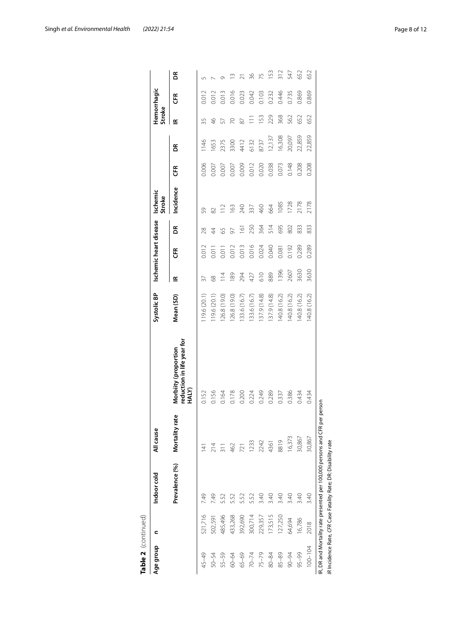| 728<br>1085<br>664<br>63<br>240<br>337<br>460<br>59<br>82<br>514<br>695<br>802<br>250<br>364<br>g<br>$\overline{6}$<br>$\frac{8}{2}$<br>$\overline{4}$<br>59<br>50<br>0.016<br>0.013<br>0.012<br>0.012<br>0.024<br>0.040<br>0.192<br>0.011<br>0.011<br>0.081<br>E<br>1396<br>2607<br>889<br>610<br>294<br>89<br>427<br>8<br>≝<br>137.9 (14.8)<br>137.9 (14.8)<br>140.8 (16.2)<br>140.8 (16.2)<br>126.8 (19.0)<br>126.8 (19.0)<br>133.6 (16.7)<br>Mean (SD)<br>119.6 (20.1)<br>119.6 (20.1)<br>133.6 (16.7)<br>reduction in life year for<br>Morbiity (proportion<br>HALY)<br>0.156<br>0.249<br>0.289<br>0.386<br>0.152<br>0.164<br>0.178<br>0.200<br>0.224<br>0.337<br>Mortality rate<br>16,373<br>8819<br>2242<br>1233<br>4361<br>214<br>462<br>721<br>4<br>Prevalence (%)<br>7.49<br>3.40<br>3.40<br>7.49<br>3.40<br>3.40<br>5.52<br>5.52<br>5.52<br>552<br>521,716<br>485,496<br>433,268<br>392,690<br>173,515<br>127,250<br>300,714<br>229,357<br>502,591<br>64,694<br>$75 - 79$<br>$85 - 89$<br>45-49<br>55-59<br>65-69<br>90-94<br>50-54<br>$70 - 74$<br>80-84<br>60-64 |              |               | Ischemic heart disease | Ischemic<br>Stroke |       |        | Stroke        | Hemorrhagic |     |
|-------------------------------------------------------------------------------------------------------------------------------------------------------------------------------------------------------------------------------------------------------------------------------------------------------------------------------------------------------------------------------------------------------------------------------------------------------------------------------------------------------------------------------------------------------------------------------------------------------------------------------------------------------------------------------------------------------------------------------------------------------------------------------------------------------------------------------------------------------------------------------------------------------------------------------------------------------------------------------------------------------------------------------------------------------------------------------|--------------|---------------|------------------------|--------------------|-------|--------|---------------|-------------|-----|
|                                                                                                                                                                                                                                                                                                                                                                                                                                                                                                                                                                                                                                                                                                                                                                                                                                                                                                                                                                                                                                                                               |              |               |                        | Incidence          | E     | g      | ≝             | 뜐           | ã   |
|                                                                                                                                                                                                                                                                                                                                                                                                                                                                                                                                                                                                                                                                                                                                                                                                                                                                                                                                                                                                                                                                               |              |               |                        |                    | 0.006 | 1146   | 35            | 0.012       |     |
|                                                                                                                                                                                                                                                                                                                                                                                                                                                                                                                                                                                                                                                                                                                                                                                                                                                                                                                                                                                                                                                                               |              |               |                        |                    | 0.007 | 1653   | $\frac{4}{6}$ | 0.012       |     |
|                                                                                                                                                                                                                                                                                                                                                                                                                                                                                                                                                                                                                                                                                                                                                                                                                                                                                                                                                                                                                                                                               |              |               |                        |                    | 0.007 | 2375   | 57            | 0.013       |     |
|                                                                                                                                                                                                                                                                                                                                                                                                                                                                                                                                                                                                                                                                                                                                                                                                                                                                                                                                                                                                                                                                               |              |               |                        |                    | 0.007 | 3300   | 20            | 0.016       |     |
|                                                                                                                                                                                                                                                                                                                                                                                                                                                                                                                                                                                                                                                                                                                                                                                                                                                                                                                                                                                                                                                                               |              |               |                        |                    | 0.009 | 4412   | 87            | 0.023       |     |
|                                                                                                                                                                                                                                                                                                                                                                                                                                                                                                                                                                                                                                                                                                                                                                                                                                                                                                                                                                                                                                                                               |              |               |                        |                    | 0.012 | 6132   |               | 0.042       | 36  |
|                                                                                                                                                                                                                                                                                                                                                                                                                                                                                                                                                                                                                                                                                                                                                                                                                                                                                                                                                                                                                                                                               |              |               |                        |                    | 0.020 | 8737   | 153           | 0.103       | 75  |
|                                                                                                                                                                                                                                                                                                                                                                                                                                                                                                                                                                                                                                                                                                                                                                                                                                                                                                                                                                                                                                                                               |              |               |                        |                    | 0.038 | 12,137 | 229           | 0.232       | 153 |
|                                                                                                                                                                                                                                                                                                                                                                                                                                                                                                                                                                                                                                                                                                                                                                                                                                                                                                                                                                                                                                                                               |              |               |                        |                    | 0.073 | 16,308 | 368           | 0.446       | 312 |
|                                                                                                                                                                                                                                                                                                                                                                                                                                                                                                                                                                                                                                                                                                                                                                                                                                                                                                                                                                                                                                                                               |              |               |                        |                    | 0.148 | 20,097 | 562           | 0.735       | 547 |
| 0.434<br>30,867<br>3.40<br>16,786<br>$95 - 99$                                                                                                                                                                                                                                                                                                                                                                                                                                                                                                                                                                                                                                                                                                                                                                                                                                                                                                                                                                                                                                | 140.8 (16.2) | 0.289<br>3630 | 833                    | 2178               | 0.208 | 22,859 | 652           | 0.869       | 652 |
| 2178<br>833<br>0.289<br>3630<br>140.8 (16.2)<br>0.434<br>30,867<br>3.40<br>2018<br>$100 - 104$                                                                                                                                                                                                                                                                                                                                                                                                                                                                                                                                                                                                                                                                                                                                                                                                                                                                                                                                                                                |              |               |                        |                    | 0.208 | 22,859 | 652           | 0.869       | 652 |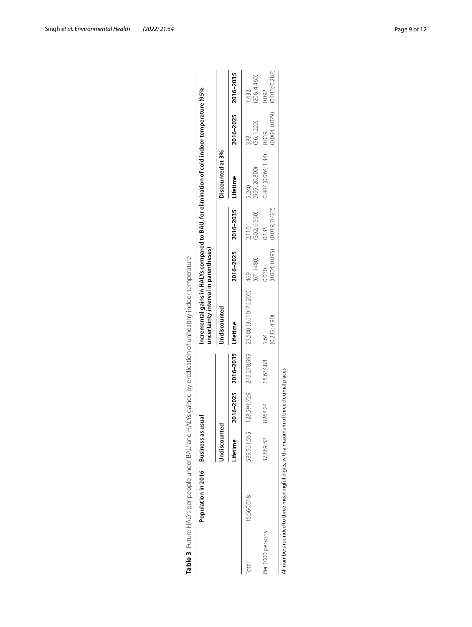|                  | Population in 2016 Business as usual |                            |         |                     | Incremental gains in HALYs compared to BAU, for elimination of cold indoor temperature (95%<br>uncertainty interval in parentheses) |                         |                         |                        |                                            |                       |
|------------------|--------------------------------------|----------------------------|---------|---------------------|-------------------------------------------------------------------------------------------------------------------------------------|-------------------------|-------------------------|------------------------|--------------------------------------------|-----------------------|
|                  |                                      | <b><i>Indiscounted</i></b> |         |                     | Undiscounted                                                                                                                        |                         |                         | Discounted at 3%       |                                            |                       |
|                  |                                      | <i>ifetime</i>             |         | 2016-2025 2016-2035 | Lifetime                                                                                                                            | 2016-2025 2016-2035     |                         | Lifetime               | 2016-2025 2016-2035                        |                       |
| Total            | 15,560,018                           | 589,561,555                |         |                     | 128,591,729 243,278,999 25,500 (3,610; 76,200) 469                                                                                  | (67; 1480)              | (302; 6,560)<br>2,110   | (995; 20,800)<br>5,240 | (56; 1220)<br>388                          | (206; 4,460)<br>1,432 |
| Per 1000 persons |                                      | 37,889.52                  | 8264.24 | 15,634.88           | (0.232; 4.90)<br>1.64                                                                                                               | (0.004; 0.095)<br>0.030 | (0.019; 0.422)<br>0.135 | 0.447(0.064; 1.34)     | $(0.004; 0.079)$ $(0.013; 0.287)$<br>0.019 | 0.092                 |

<span id="page-8-0"></span>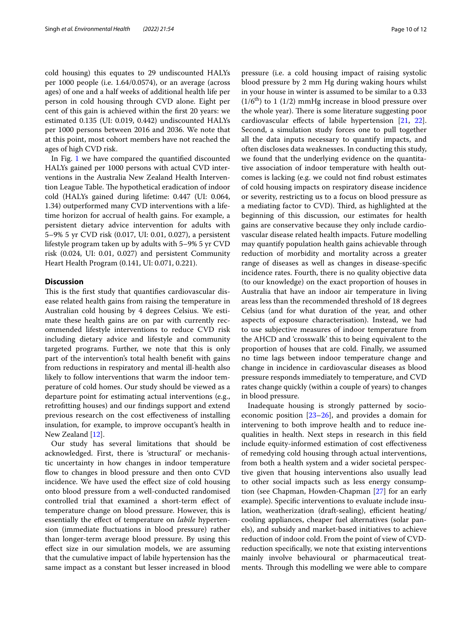cold housing) this equates to 29 undiscounted HALYs per 1000 people (i.e. 1.64/0.0574), or an average (across ages) of one and a half weeks of additional health life per person in cold housing through CVD alone. Eight per cent of this gain is achieved within the frst 20 years: we estimated 0.135 (UI: 0.019, 0.442) undiscounted HALYs per 1000 persons between 2016 and 2036. We note that at this point, most cohort members have not reached the ages of high CVD risk.

In Fig. [1](#page-10-1) we have compared the quantifed discounted HALYs gained per 1000 persons with actual CVD interventions in the Australia New Zealand Health Intervention League Table. The hypothetical eradication of indoor cold (HALYs gained during lifetime: 0.447 (UI: 0.064, 1.34) outperformed many CVD interventions with a lifetime horizon for accrual of health gains. For example, a persistent dietary advice intervention for adults with 5–9% 5 yr CVD risk (0.017, UI: 0.01, 0.027), a persistent lifestyle program taken up by adults with 5–9% 5 yr CVD risk (0.024, UI: 0.01, 0.027) and persistent Community Heart Health Program (0.141, UI: 0.071, 0.221).

### **Discussion**

This is the first study that quantifies cardiovascular disease related health gains from raising the temperature in Australian cold housing by 4 degrees Celsius. We estimate these health gains are on par with currently recommended lifestyle interventions to reduce CVD risk including dietary advice and lifestyle and community targeted programs. Further, we note that this is only part of the intervention's total health beneft with gains from reductions in respiratory and mental ill-health also likely to follow interventions that warm the indoor temperature of cold homes. Our study should be viewed as a departure point for estimating actual interventions (e.g., retroftting houses) and our fndings support and extend previous research on the cost efectiveness of installing insulation, for example, to improve occupant's health in New Zealand [[12\]](#page-11-10).

Our study has several limitations that should be acknowledged. First, there is 'structural' or mechanistic uncertainty in how changes in indoor temperature flow to changes in blood pressure and then onto CVD incidence. We have used the efect size of cold housing onto blood pressure from a well-conducted randomised controlled trial that examined a short-term efect of temperature change on blood pressure. However, this is essentially the efect of temperature on *labile* hypertension (immediate fuctuations in blood pressure) rather than longer-term average blood pressure. By using this efect size in our simulation models, we are assuming that the cumulative impact of labile hypertension has the same impact as a constant but lesser increased in blood pressure (i.e. a cold housing impact of raising systolic blood pressure by 2 mm Hg during waking hours whilst in your house in winter is assumed to be similar to a 0.33  $(1/6<sup>th</sup>)$  to 1 (1/2) mmHg increase in blood pressure over the whole year). There is some literature suggesting poor cardiovascular efects of labile hypertension [[21](#page-11-23), [22](#page-11-24)]. Second, a simulation study forces one to pull together all the data inputs necessary to quantify impacts, and often discloses data weaknesses. In conducting this study, we found that the underlying evidence on the quantitative association of indoor temperature with health outcomes is lacking (e.g. we could not fnd robust estimates of cold housing impacts on respiratory disease incidence or severity, restricting us to a focus on blood pressure as a mediating factor to CVD). Third, as highlighted at the beginning of this discussion, our estimates for health gains are conservative because they only include cardiovascular disease related health impacts. Future modelling may quantify population health gains achievable through reduction of morbidity and mortality across a greater range of diseases as well as changes in disease-specifc incidence rates. Fourth, there is no quality objective data (to our knowledge) on the exact proportion of houses in Australia that have an indoor air temperature in living areas less than the recommended threshold of 18 degrees Celsius (and for what duration of the year, and other aspects of exposure characterisation). Instead, we had to use subjective measures of indoor temperature from the AHCD and 'crosswalk' this to being equivalent to the proportion of houses that are cold. Finally, we assumed no time lags between indoor temperature change and change in incidence in cardiovascular diseases as blood pressure responds immediately to temperature, and CVD rates change quickly (within a couple of years) to changes in blood pressure.

Inadequate housing is strongly patterned by socioeconomic position [[23](#page-11-25)[–26](#page-11-26)], and provides a domain for intervening to both improve health and to reduce inequalities in health. Next steps in research in this feld include equity-informed estimation of cost efectiveness of remedying cold housing through actual interventions, from both a health system and a wider societal perspective given that housing interventions also usually lead to other social impacts such as less energy consumption (see Chapman, Howden-Chapman [\[27](#page-11-27)] for an early example). Specifc interventions to evaluate include insulation, weatherization (draft-sealing), efficient heating/ cooling appliances, cheaper fuel alternatives (solar panels), and subsidy and market-based initiatives to achieve reduction of indoor cold. From the point of view of CVDreduction specifcally, we note that existing interventions mainly involve behavioural or pharmaceutical treatments. Through this modelling we were able to compare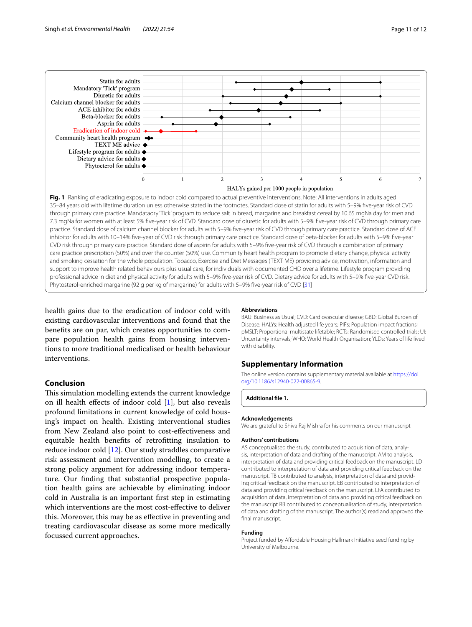

<span id="page-10-1"></span>health gains due to the eradication of indoor cold with existing cardiovascular interventions and found that the benefts are on par, which creates opportunities to compare population health gains from housing interventions to more traditional medicalised or health behaviour interventions.

## **Conclusion**

This simulation modelling extends the current knowledge on ill health effects of indoor cold  $[1]$  $[1]$ , but also reveals profound limitations in current knowledge of cold housing's impact on health. Existing interventional studies from New Zealand also point to cost-efectiveness and equitable health benefts of retroftting insulation to reduce indoor cold [[12](#page-11-10)]. Our study straddles comparative risk assessment and intervention modelling, to create a strong policy argument for addressing indoor temperature. Our fnding that substantial prospective population health gains are achievable by eliminating indoor cold in Australia is an important frst step in estimating which interventions are the most cost-efective to deliver this. Moreover, this may be as efective in preventing and treating cardiovascular disease as some more medically focussed current approaches.

#### **Abbreviations**

BAU: Business as Usual; CVD: Cardiovascular disease; GBD: Global Burden of Disease; HALYs: Health adjusted life years; PIFs: Population impact fractions; pMSLT: Proportional multistate lifetable; RCTs: Randomised controlled trials; UI: Uncertainty intervals; WHO: World Health Organisation; YLDs: Years of life lived with disability.

## **Supplementary Information**

The online version contains supplementary material available at [https://doi.](https://doi.org/10.1186/s12940-022-00865-9) [org/10.1186/s12940-022-00865-9](https://doi.org/10.1186/s12940-022-00865-9).

<span id="page-10-0"></span>**Additional fle 1.**

#### **Acknowledgements**

We are grateful to Shiva Raj Mishra for his comments on our manuscript

#### **Authors' contributions**

AS conceptualised the study, contributed to acquisition of data, analysis, interpretation of data and drafting of the manuscript. AM to analysis, interpretation of data and providing critical feedback on the manuscript. LD contributed to interpretation of data and providing critical feedback on the manuscript. TB contributed to analysis, interpretation of data and providing critical feedback on the manuscript. EB contributed to interpretation of data and providing critical feedback on the manuscript. LFA contributed to acquisition of data, interpretation of data and providing critical feedback on the manuscript RB contributed to conceptualisation of study, interpretation of data and drafting of the manuscript. The author(s) read and approved the final manuscript.

#### **Funding**

Project funded by Afordable Housing Hallmark Initiative seed funding by University of Melbourne.